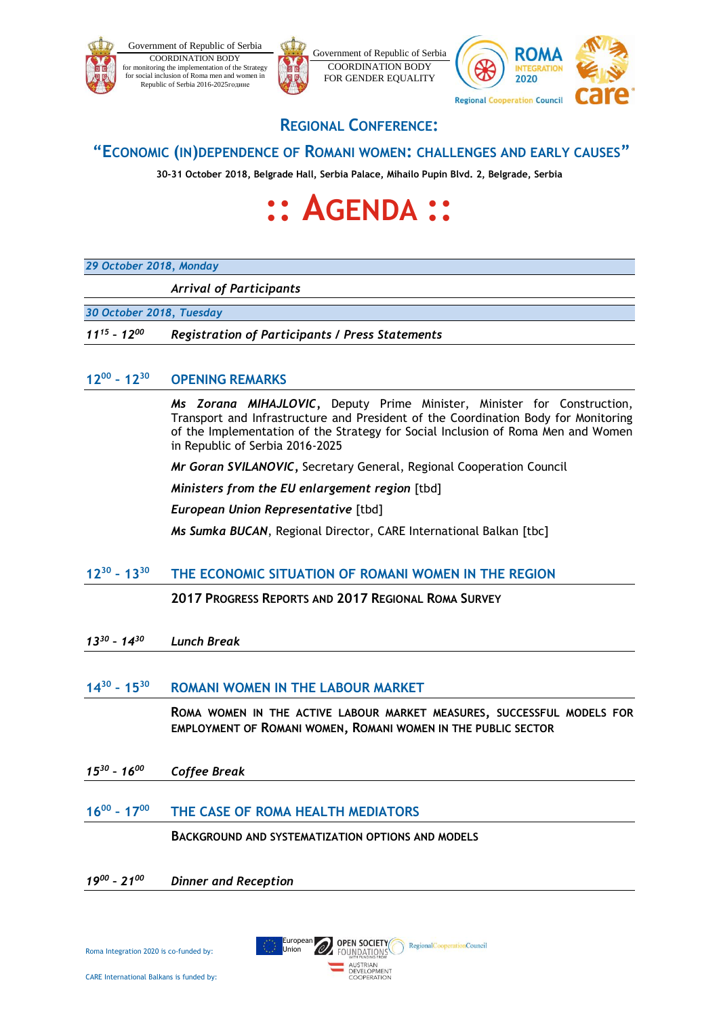



## **REGIONAL CONFERENCE:**

COORDINATION BODY FOR GENDER EQUALITY

## **"ECONOMIC (IN)DEPENDENCE OF ROMANI WOMEN: CHALLENGES AND EARLY CAUSES"**

**30-31 October 2018, Belgrade Hall, Serbia Palace, Mihailo Pupin Blvd. 2, Belgrade, Serbia**

# **:: AGENDA ::**

### *29 October 2018, Monday*

*Arrival of Participants*

*30 October 2018, Tuesday*

*11<sup>15</sup> – 12<sup>00</sup> Registration of Participants / Press Statements* 

#### $12^{00} - 12^{30}$ **– 12<sup>30</sup> OPENING REMARKS**

*Ms Zorana MIHAJLOVIC,* Deputy Prime Minister, Minister for Construction, Transport and Infrastructure and President of the Coordination Body for Monitoring of the Implementation of the Strategy for Social Inclusion of Roma Men and Women in Republic of Serbia 2016-2025

*Mr Goran SVILANOVIC,* Secretary General, Regional Cooperation Council

*Ministers from the EU enlargement region* [tbd]

*European Union Representative* [tbd]

*Ms Sumka BUCAN*, Regional Director, CARE International Balkan [tbc]

#### **12<sup>30</sup> – 13 <sup>30</sup> THE ECONOMIC SITUATION OF ROMANI WOMEN IN THE REGION**

**2017 PROGRESS REPORTS AND 2017 REGIONAL ROMA SURVEY**

*13 30 – 14<sup>30</sup> Lunch Break*

#### **14 30 – 15 <sup>30</sup> ROMANI WOMEN IN THE LABOUR MARKET**

**ROMA WOMEN IN THE ACTIVE LABOUR MARKET MEASURES, SUCCESSFUL MODELS FOR EMPLOYMENT OF ROMANI WOMEN, ROMANI WOMEN IN THE PUBLIC SECTOR**

*15 30 – 16 <sup>00</sup> Coffee Break*

#### **16<sup>00</sup> – 17 <sup>00</sup> THE CASE OF ROMA HEALTH MEDIATORS**

**BACKGROUND AND SYSTEMATIZATION OPTIONS AND MODELS**

OPEN SOCIETY

FOUNDATIONS AUSTRIAN<br>DEVELOPMENT COOPERATION

RegionalCooperationCouncil

European Union

#### *19 00 – 21<sup>00</sup> Dinner and Reception*